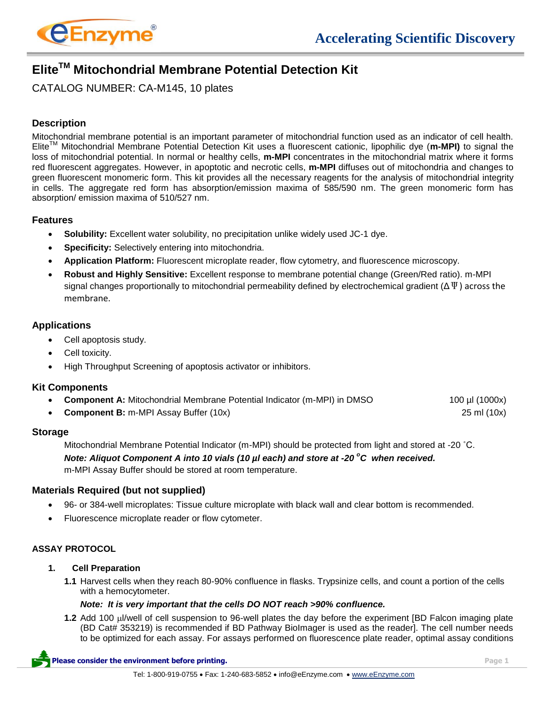

# **EliteTM Mitochondrial Membrane Potential Detection Kit**

CATALOG NUMBER: CA-M145, 10 plates

## **Description**

Mitochondrial membrane potential is an important parameter of mitochondrial function used as an indicator of cell health. EliteTM Mitochondrial Membrane Potential Detection Kit uses a fluorescent cationic, lipophilic dye (**m-MPI)** to signal the loss of mitochondrial potential. In normal or healthy cells, **m-MPI** concentrates in the mitochondrial matrix where it forms red fluorescent aggregates. However, in apoptotic and necrotic cells, **m-MPI** diffuses out of mitochondria and changes to green fluorescent monomeric form. This kit provides all the necessary reagents for the analysis of mitochondrial integrity in cells. The aggregate red form has absorption/emission maxima of 585/590 nm. The green monomeric form has absorption/ emission maxima of 510/527 nm.

## **Features**

- **Solubility:** Excellent water solubility, no precipitation unlike widely used JC-1 dye.
- **Specificity:** Selectively entering into mitochondria.
- **Application Platform:** Fluorescent microplate reader, flow cytometry, and fluorescence microscopy.
- **Robust and Highly Sensitive:** Excellent response to membrane potential change (Green/Red ratio). m-MPI signal changes proportionally to mitochondrial permeability defined by electrochemical gradient ( $\Delta \Psi$ ) across the membrane.

## **Applications**

- Cell apoptosis study.
- Cell toxicity.
- High Throughput Screening of apoptosis activator or inhibitors.

#### **Kit Components**

| • Component A: Mitochondrial Membrane Potential Indicator (m-MPI) in DMSO | 100 µl (1000x) |
|---------------------------------------------------------------------------|----------------|
|                                                                           |                |

**Component B:** m-MPI Assay Buffer (10x) 25 ml (10x)

#### **Storage**

Mitochondrial Membrane Potential Indicator (m-MPI) should be protected from light and stored at -20 ˚C.

*Note: Aliquot Component A into 10 vials (10 µl each) and store at -20<sup>°</sup>C when received.* m-MPI Assay Buffer should be stored at room temperature.

#### **Materials Required (but not supplied)**

- 96- or 384-well microplates: Tissue culture microplate with black wall and clear bottom is recommended.
- Fluorescence microplate reader or flow cytometer.

### **ASSAY PROTOCOL**

#### **1. Cell Preparation**

**1.1** Harvest cells when they reach 80-90% confluence in flasks. Trypsinize cells, and count a portion of the cells with a hemocytometer.

#### *Note: It is very important that the cells DO NOT reach >90% confluence.*

**1.2** Add 100 µ/well of cell suspension to 96-well plates the day before the experiment [BD Falcon imaging plate (BD Cat# 353219) is recommended if BD Pathway BioImager is used as the reader]. The cell number needs to be optimized for each assay. For assays performed on fluorescence plate reader, optimal assay conditions

**Please consider the environment before printing. Page 1**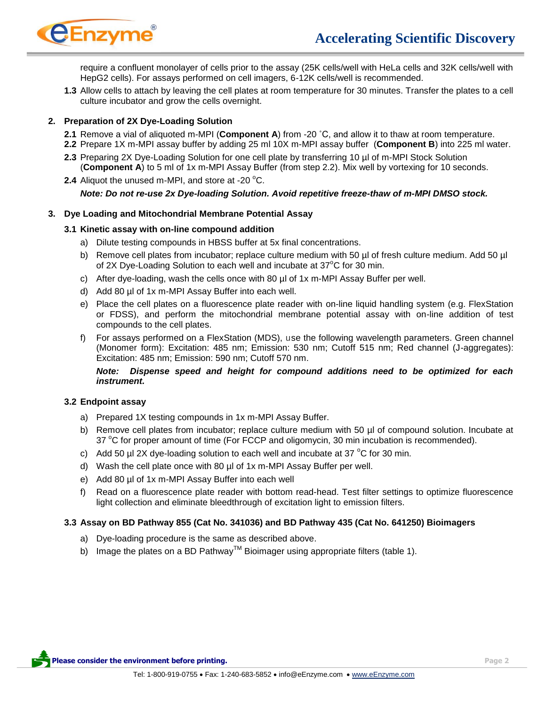

require a confluent monolayer of cells prior to the assay (25K cells/well with HeLa cells and 32K cells/well with HepG2 cells). For assays performed on cell imagers, 6-12K cells/well is recommended.

**1.3** Allow cells to attach by leaving the cell plates at room temperature for 30 minutes. Transfer the plates to a cell culture incubator and grow the cells overnight.

## **2. Preparation of 2X Dye-Loading Solution**

- **2.1** Remove a vial of aliquoted m-MPI (**Component A**) from -20 ˚C, and allow it to thaw at room temperature.
- **2.2** Prepare 1X m-MPI assay buffer by adding 25 ml 10X m-MPI assay buffer (**Component B**) into 225 ml water.
- **2.3** Preparing 2X Dye-Loading Solution for one cell plate by transferring 10 µl of m-MPI Stock Solution (**Component A**) to 5 ml of 1x m-MPI Assay Buffer (from step 2.2). Mix well by vortexing for 10 seconds.
- **2.4** Aliquot the unused m-MPI, and store at -20 °C. *Note: Do not re-use 2x Dye-loading Solution. Avoid repetitive freeze-thaw of m-MPI DMSO stock.*

#### **3. Dye Loading and Mitochondrial Membrane Potential Assay**

## **3.1 Kinetic assay with on-line compound addition**

- a) Dilute testing compounds in HBSS buffer at 5x final concentrations.
- b) Remove cell plates from incubator; replace culture medium with 50 µl of fresh culture medium. Add 50 µl of 2X Dye-Loading Solution to each well and incubate at  $37^{\circ}$ C for 30 min.
- c) After dye-loading, wash the cells once with 80 µl of 1x m-MPI Assay Buffer per well.
- d) Add 80 µl of 1x m-MPI Assay Buffer into each well.
- e) Place the cell plates on a fluorescence plate reader with on-line liquid handling system (e.g. FlexStation or FDSS), and perform the mitochondrial membrane potential assay with on-line addition of test compounds to the cell plates.
- f) For assays performed on a FlexStation (MDS), use the following wavelength parameters. Green channel (Monomer form): Excitation: 485 nm; Emission: 530 nm; Cutoff 515 nm; Red channel (J-aggregates): Excitation: 485 nm; Emission: 590 nm; Cutoff 570 nm.

*Note: Dispense speed and height for compound additions need to be optimized for each instrument.* 

#### **3.2 Endpoint assay**

- a) Prepared 1X testing compounds in 1x m-MPI Assay Buffer.
- b) Remove cell plates from incubator; replace culture medium with 50 µl of compound solution. Incubate at 37  $\degree$ C for proper amount of time (For FCCP and oligomycin, 30 min incubation is recommended).
- c) Add 50 µl 2X dye-loading solution to each well and incubate at 37  $^{\circ}$ C for 30 min.
- d) Wash the cell plate once with 80 µl of 1x m-MPI Assay Buffer per well.
- e) Add 80 µl of 1x m-MPI Assay Buffer into each well
- f) Read on a fluorescence plate reader with bottom read-head. Test filter settings to optimize fluorescence light collection and eliminate bleedthrough of excitation light to emission filters.

#### **3.3 Assay on BD Pathway 855 (Cat No. 341036) and BD Pathway 435 (Cat No. 641250) Bioimagers**

- a) Dye-loading procedure is the same as described above.
- b) Image the plates on a BD Pathway<sup>TM</sup> Bioimager using appropriate filters (table 1).

**Please consider the environment before printing. Page 2**